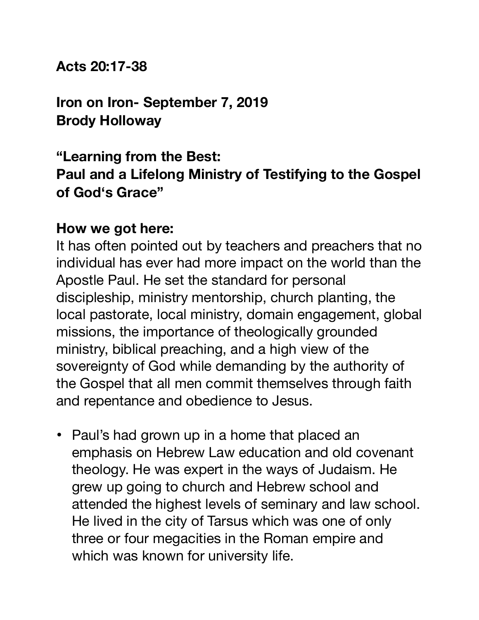**Acts 20:17-38**

**Iron on Iron- September 7, 2019 Brody Holloway** 

#### **"Learning from the Best: Paul and a Lifelong Ministry of Testifying to the Gospel of God's Grace"**

#### **How we got here:**

It has often pointed out by teachers and preachers that no individual has ever had more impact on the world than the Apostle Paul. He set the standard for personal discipleship, ministry mentorship, church planting, the local pastorate, local ministry, domain engagement, global missions, the importance of theologically grounded ministry, biblical preaching, and a high view of the sovereignty of God while demanding by the authority of the Gospel that all men commit themselves through faith and repentance and obedience to Jesus.

• Paul's had grown up in a home that placed an emphasis on Hebrew Law education and old covenant theology. He was expert in the ways of Judaism. He grew up going to church and Hebrew school and attended the highest levels of seminary and law school. He lived in the city of Tarsus which was one of only three or four megacities in the Roman empire and which was known for university life.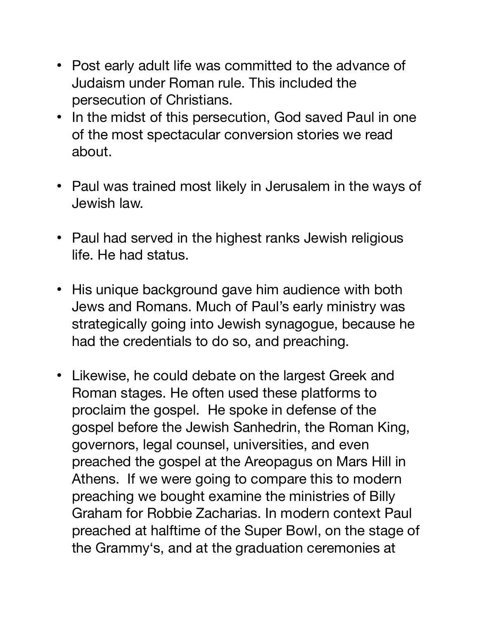- Post early adult life was committed to the advance of Judaism under Roman rule. This included the persecution of Christians.
- In the midst of this persecution, God saved Paul in one of the most spectacular conversion stories we read about.
- Paul was trained most likely in Jerusalem in the ways of Jewish law.
- Paul had served in the highest ranks Jewish religious life. He had status.
- His unique background gave him audience with both Jews and Romans. Much of Paul's early ministry was strategically going into Jewish synagogue, because he had the credentials to do so, and preaching.
- Likewise, he could debate on the largest Greek and Roman stages. He often used these platforms to proclaim the gospel. He spoke in defense of the gospel before the Jewish Sanhedrin, the Roman King, governors, legal counsel, universities, and even preached the gospel at the Areopagus on Mars Hill in Athens. If we were going to compare this to modern preaching we bought examine the ministries of Billy Graham for Robbie Zacharias. In modern context Paul preached at halftime of the Super Bowl, on the stage of the Grammy's, and at the graduation ceremonies at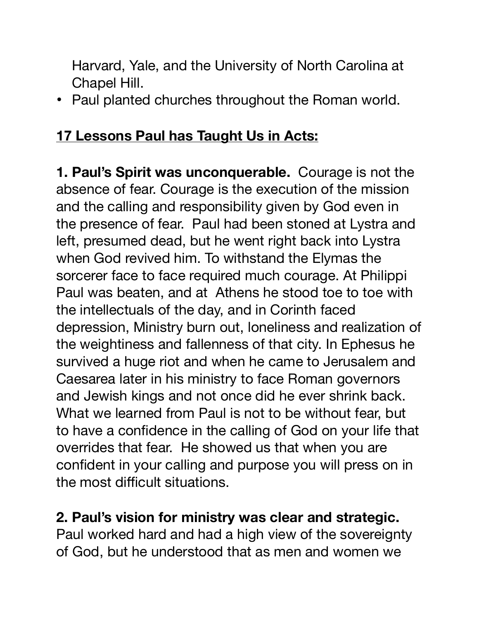Harvard, Yale, and the University of North Carolina at Chapel Hill.

• Paul planted churches throughout the Roman world.

#### **17 Lessons Paul has Taught Us in Acts:**

**1. Paul's Spirit was unconquerable.** Courage is not the absence of fear. Courage is the execution of the mission and the calling and responsibility given by God even in the presence of fear. Paul had been stoned at Lystra and left, presumed dead, but he went right back into Lystra when God revived him. To withstand the Elymas the sorcerer face to face required much courage. At Philippi Paul was beaten, and at Athens he stood toe to toe with the intellectuals of the day, and in Corinth faced depression, Ministry burn out, loneliness and realization of the weightiness and fallenness of that city. In Ephesus he survived a huge riot and when he came to Jerusalem and Caesarea later in his ministry to face Roman governors and Jewish kings and not once did he ever shrink back. What we learned from Paul is not to be without fear, but to have a confidence in the calling of God on your life that overrides that fear. He showed us that when you are confident in your calling and purpose you will press on in the most difficult situations.

# **2. Paul's vision for ministry was clear and strategic.**

Paul worked hard and had a high view of the sovereignty of God, but he understood that as men and women we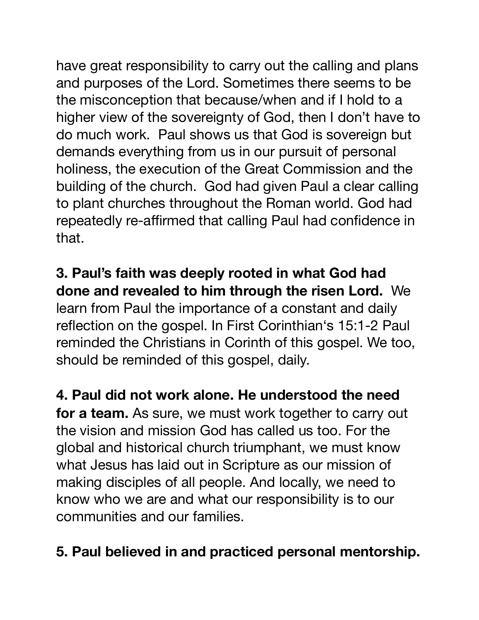have great responsibility to carry out the calling and plans and purposes of the Lord. Sometimes there seems to be the misconception that because/when and if I hold to a higher view of the sovereignty of God, then I don't have to do much work. Paul shows us that God is sovereign but demands everything from us in our pursuit of personal holiness, the execution of the Great Commission and the building of the church. God had given Paul a clear calling to plant churches throughout the Roman world. God had repeatedly re-affirmed that calling Paul had confidence in that.

**3. Paul's faith was deeply rooted in what God had done and revealed to him through the risen Lord.** We learn from Paul the importance of a constant and daily reflection on the gospel. In First Corinthian's 15:1-2 Paul reminded the Christians in Corinth of this gospel. We too, should be reminded of this gospel, daily.

**4. Paul did not work alone. He understood the need**  for a team. As sure, we must work together to carry out the vision and mission God has called us too. For the global and historical church triumphant, we must know what Jesus has laid out in Scripture as our mission of making disciples of all people. And locally, we need to know who we are and what our responsibility is to our communities and our families.

### **5. Paul believed in and practiced personal mentorship.**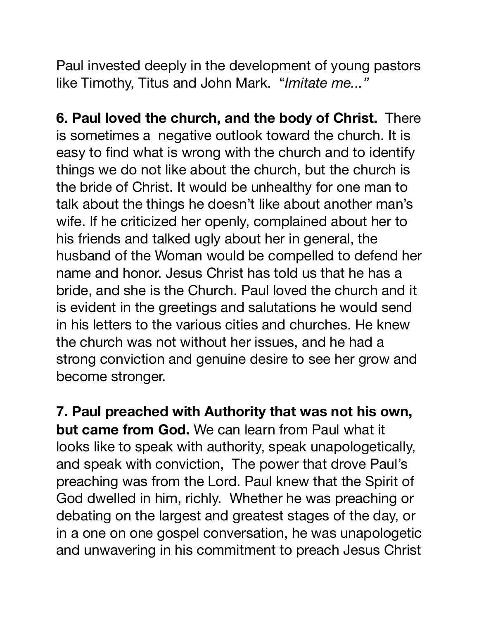Paul invested deeply in the development of young pastors like Timothy, Titus and John Mark. "*Imitate me..."*

**6. Paul loved the church, and the body of Christ.** There is sometimes a negative outlook toward the church. It is easy to find what is wrong with the church and to identify things we do not like about the church, but the church is the bride of Christ. It would be unhealthy for one man to talk about the things he doesn't like about another man's wife. If he criticized her openly, complained about her to his friends and talked ugly about her in general, the husband of the Woman would be compelled to defend her name and honor. Jesus Christ has told us that he has a bride, and she is the Church. Paul loved the church and it is evident in the greetings and salutations he would send in his letters to the various cities and churches. He knew the church was not without her issues, and he had a strong conviction and genuine desire to see her grow and become stronger.

**7. Paul preached with Authority that was not his own, but came from God.** We can learn from Paul what it looks like to speak with authority, speak unapologetically, and speak with conviction, The power that drove Paul's preaching was from the Lord. Paul knew that the Spirit of God dwelled in him, richly. Whether he was preaching or debating on the largest and greatest stages of the day, or in a one on one gospel conversation, he was unapologetic and unwavering in his commitment to preach Jesus Christ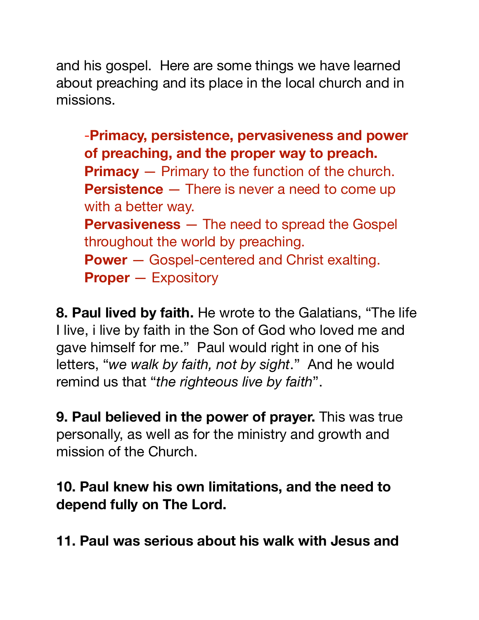and his gospel. Here are some things we have learned about preaching and its place in the local church and in missions.

-**Primacy, persistence, pervasiveness and power of preaching, and the proper way to preach. Primacy** — Primary to the function of the church. **Persistence** – There is never a need to come up with a better way. **Pervasiveness** — The need to spread the Gospel throughout the world by preaching. **Power** — Gospel-centered and Christ exalting. **Proper** — Expository

**8. Paul lived by faith.** He wrote to the Galatians, "The life I live, i live by faith in the Son of God who loved me and gave himself for me." Paul would right in one of his letters, "*we walk by faith, not by sight*." And he would remind us that "*the righteous live by faith*".

**9. Paul believed in the power of prayer.** This was true personally, as well as for the ministry and growth and mission of the Church.

**10. Paul knew his own limitations, and the need to depend fully on The Lord.** 

**11. Paul was serious about his walk with Jesus and**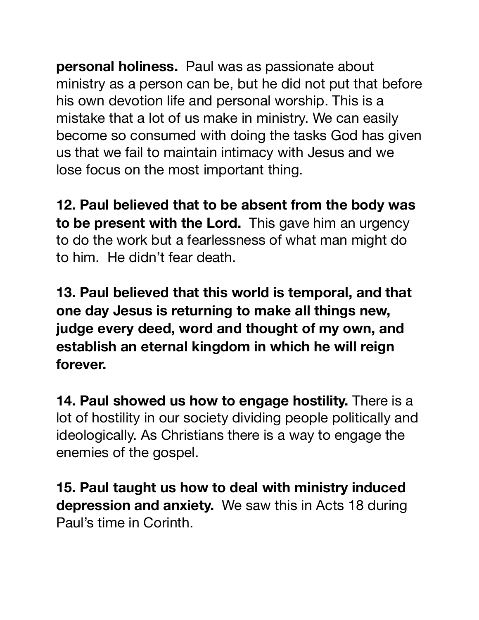**personal holiness.** Paul was as passionate about ministry as a person can be, but he did not put that before his own devotion life and personal worship. This is a mistake that a lot of us make in ministry. We can easily become so consumed with doing the tasks God has given us that we fail to maintain intimacy with Jesus and we lose focus on the most important thing.

**12. Paul believed that to be absent from the body was to be present with the Lord.** This gave him an urgency to do the work but a fearlessness of what man might do to him. He didn't fear death.

**13. Paul believed that this world is temporal, and that one day Jesus is returning to make all things new, judge every deed, word and thought of my own, and establish an eternal kingdom in which he will reign forever.**

**14. Paul showed us how to engage hostility.** There is a lot of hostility in our society dividing people politically and ideologically. As Christians there is a way to engage the enemies of the gospel.

**15. Paul taught us how to deal with ministry induced depression and anxiety.** We saw this in Acts 18 during Paul's time in Corinth.